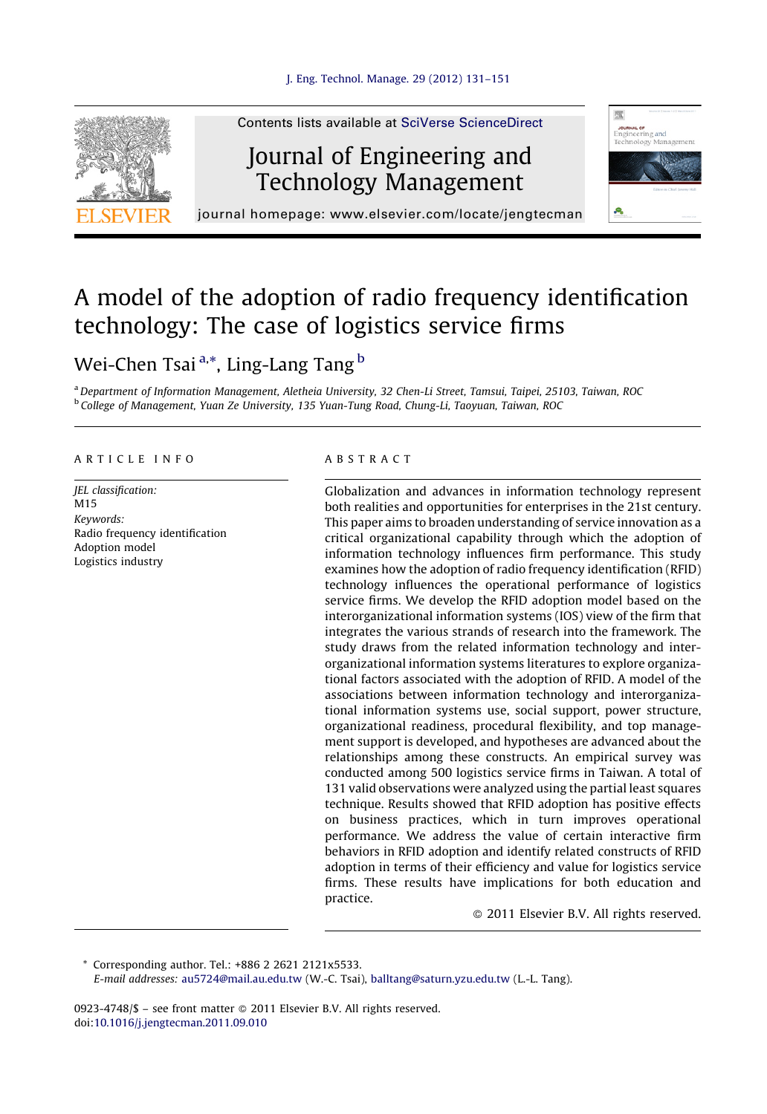

Contents lists available at SciVerse [ScienceDirect](http://www.sciencedirect.com/science/journal/09234748)

## Journal of Engineering and Technology Management



journal homepage: www.elsevier.com/locate/jengtecman

# A model of the adoption of radio frequency identification technology: The case of logistics service firms

### Wei-Chen Tsai <sup>a,</sup>\*, Ling-Lang Tang <sup>b</sup>

a Department of Information Management, Aletheia University, 32 Chen-Li Street, Tamsui, Taipei, 25103, Taiwan, ROC <sup>b</sup> College of Management, Yuan Ze University, 135 Yuan-Tung Road, Chung-Li, Taoyuan, Taiwan, ROC

#### A R T I C L E I N F O

JEL classification: M<sub>15</sub> Keywords: Radio frequency identification Adoption model Logistics industry

#### A B S T R A C T

Globalization and advances in information technology represent both realities and opportunities for enterprises in the 21st century. This paper aims to broaden understanding of service innovation as a critical organizational capability through which the adoption of information technology influences firm performance. This study examines how the adoption of radio frequency identification (RFID) technology influences the operational performance of logistics service firms. We develop the RFID adoption model based on the interorganizational information systems (IOS) view of the firm that integrates the various strands of research into the framework. The study draws from the related information technology and interorganizational information systems literatures to explore organizational factors associated with the adoption of RFID. A model of the associations between information technology and interorganizational information systems use, social support, power structure, organizational readiness, procedural flexibility, and top management support is developed, and hypotheses are advanced about the relationships among these constructs. An empirical survey was conducted among 500 logistics service firms in Taiwan. A total of 131 valid observations were analyzed using the partial least squares technique. Results showed that RFID adoption has positive effects on business practices, which in turn improves operational performance. We address the value of certain interactive firm behaviors in RFID adoption and identify related constructs of RFID adoption in terms of their efficiency and value for logistics service firms. These results have implications for both education and practice.

- 2011 Elsevier B.V. All rights reserved.

Corresponding author. Tel.: +886 2 2621 2121x5533. E-mail addresses: [au5724@mail.au.edu.tw](mailto:au5724@mail.au.edu.tw) (W.-C. Tsai), [balltang@saturn.yzu.edu.tw](mailto:balltang@saturn.yzu.edu.tw) (L.-L. Tang).

0923-4748/\$ – see front matter © 2011 Elsevier B.V. All rights reserved. doi[:10.1016/j.jengtecman.2011.09.010](http://dx.doi.org/10.1016/j.jengtecman.2011.09.010)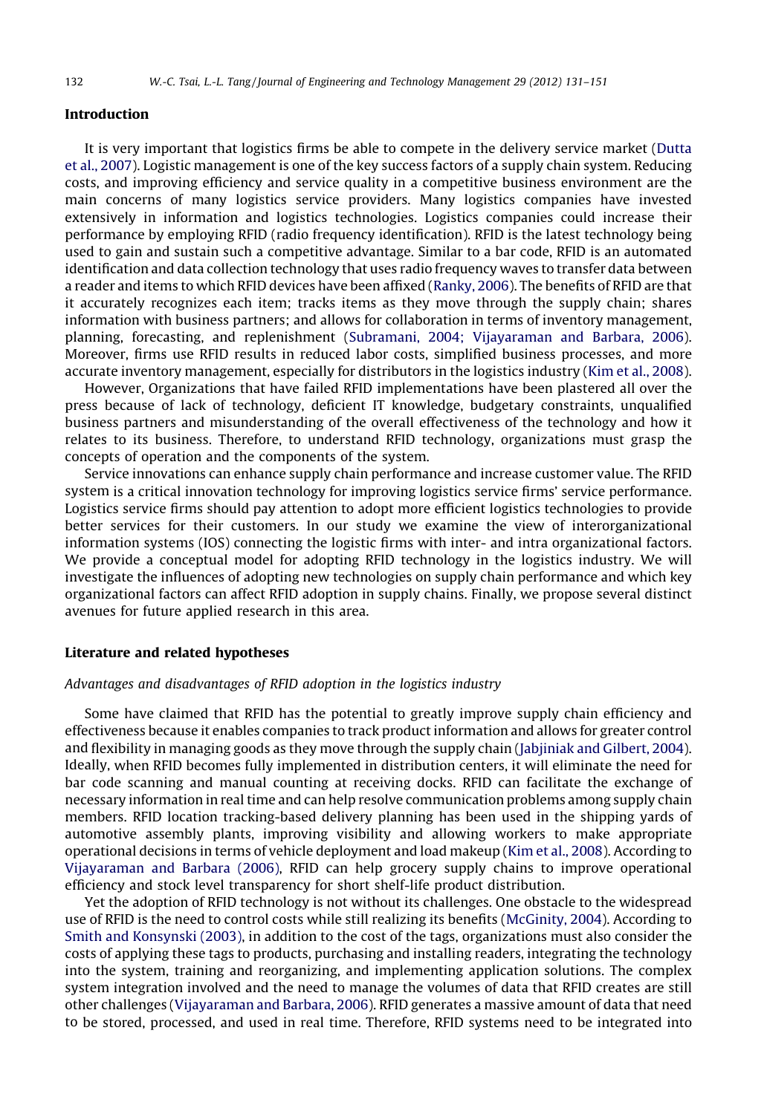#### Introduction

It is very important that logistics firms be able to compete in the delivery service market ([Dutta](#page--1-0) et al., [2007\)](#page--1-0). Logistic management is one of the key success factors of a supply chain system. Reducing costs, and improving efficiency and service quality in a competitive business environment are the main concerns of many logistics service providers. Many logistics companies have invested extensively in information and logistics technologies. Logistics companies could increase their performance by employing RFID (radio frequency identification). RFID is the latest technology being used to gain and sustain such a competitive advantage. Similar to a bar code, RFID is an automated identification and data collection technology that uses radio frequency waves to transfer data between a reader and items to which RFID devices have been affixed [\(Ranky,](#page--1-0) 2006). The benefits of RFID are that it accurately recognizes each item; tracks items as they move through the supply chain; shares information with business partners; and allows for collaboration in terms of inventory management, planning, forecasting, and replenishment (Subramani, 2004; [Vijayaraman](#page--1-0) and Barbara, 2006). Moreover, firms use RFID results in reduced labor costs, simplified business processes, and more accurate inventory management, especially for distributors in the logistics industry (Kim et al., [2008](#page--1-0)).

However, Organizations that have failed RFID implementations have been plastered all over the press because of lack of technology, deficient IT knowledge, budgetary constraints, unqualified business partners and misunderstanding of the overall effectiveness of the technology and how it relates to its business. Therefore, to understand RFID technology, organizations must grasp the concepts of operation and the components of the system.

Service innovations can enhance supply chain performance and increase customer value. The RFID system is a critical innovation technology for improving logistics service firms' service performance. Logistics service firms should pay attention to adopt more efficient logistics technologies to provide better services for their customers. In our study we examine the view of interorganizational information systems (IOS) connecting the logistic firms with inter- and intra organizational factors. We provide a conceptual model for adopting RFID technology in the logistics industry. We will investigate the influences of adopting new technologies on supply chain performance and which key organizational factors can affect RFID adoption in supply chains. Finally, we propose several distinct avenues for future applied research in this area.

#### Literature and related hypotheses

#### Advantages and disadvantages of RFID adoption in the logistics industry

Some have claimed that RFID has the potential to greatly improve supply chain efficiency and effectiveness because it enables companies to track productinformation and allows for greater control and flexibility in managing goods as they move through the supply chain [\(Jabjiniak](#page--1-0) and Gilbert, 2004). Ideally, when RFID becomes fully implemented in distribution centers, it will eliminate the need for bar code scanning and manual counting at receiving docks. RFID can facilitate the exchange of necessary information in real time and can help resolve communication problems among supply chain members. RFID location tracking-based delivery planning has been used in the shipping yards of automotive assembly plants, improving visibility and allowing workers to make appropriate operational decisions in terms of vehicle deployment and load makeup (Kim et al., [2008\)](#page--1-0). According to [Vijayaraman](#page--1-0) and Barbara (2006), RFID can help grocery supply chains to improve operational efficiency and stock level transparency for short shelf-life product distribution.

Yet the adoption of RFID technology is not without its challenges. One obstacle to the widespread use of RFID is the need to control costs while still realizing its benefits ([McGinity,](#page--1-0) 2004). According to Smith and [Konsynski](#page--1-0) (2003), in addition to the cost of the tags, organizations must also consider the costs of applying these tags to products, purchasing and installing readers, integrating the technology into the system, training and reorganizing, and implementing application solutions. The complex system integration involved and the need to manage the volumes of data that RFID creates are still other challenges ([Vijayaraman](#page--1-0) and Barbara, 2006). RFID generates a massive amount of data that need to be stored, processed, and used in real time. Therefore, RFID systems need to be integrated into